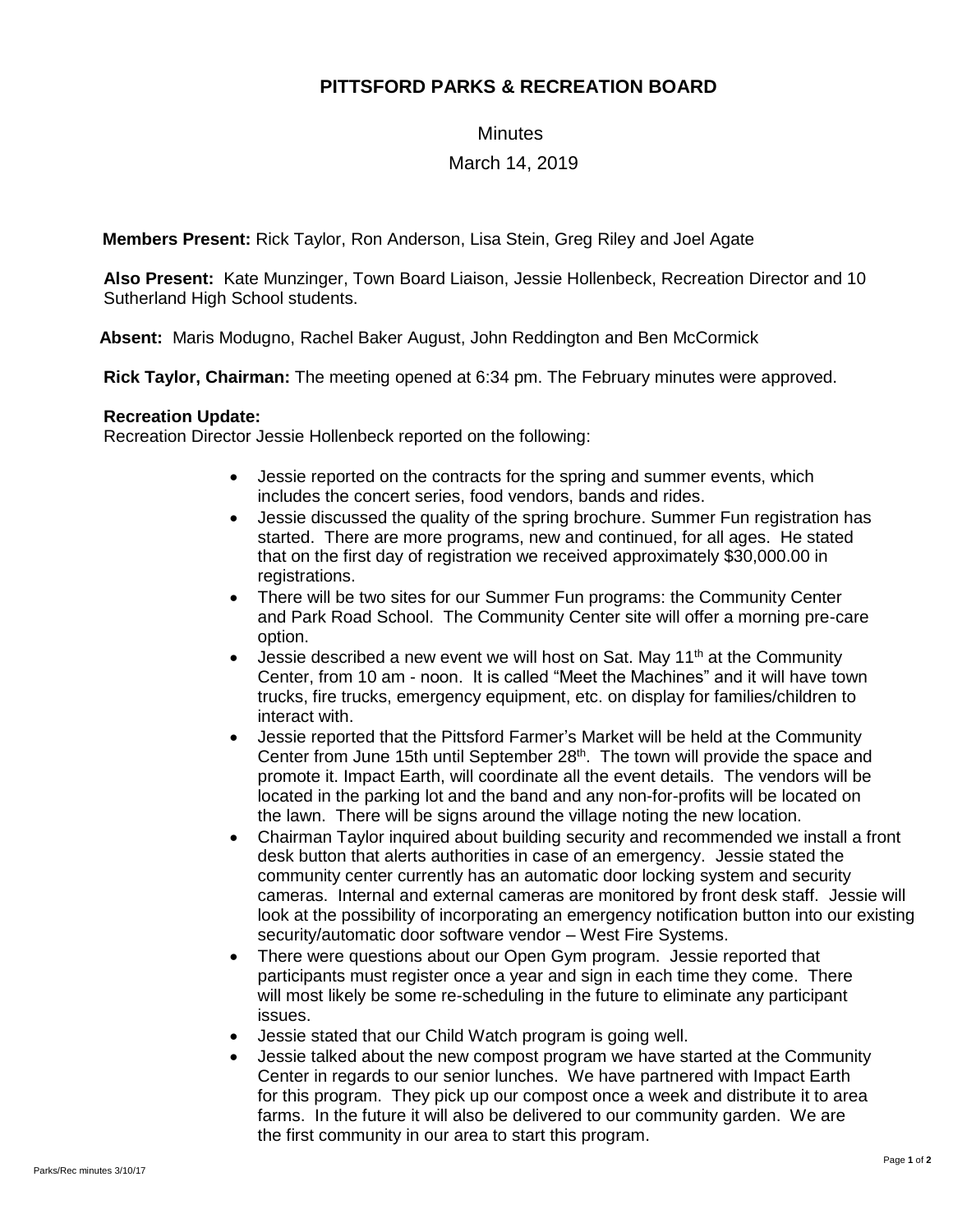# **PITTSFORD PARKS & RECREATION BOARD**

### **Minutes**

## March 14, 2019

**Members Present:** Rick Taylor, Ron Anderson, Lisa Stein, Greg Riley and Joel Agate

**Also Present:** Kate Munzinger, Town Board Liaison, Jessie Hollenbeck, Recreation Director and 10 Sutherland High School students.

 **Absent:** Maris Modugno, Rachel Baker August, John Reddington and Ben McCormick

**Rick Taylor, Chairman:** The meeting opened at 6:34 pm. The February minutes were approved.

#### **Recreation Update:**

Recreation Director Jessie Hollenbeck reported on the following:

- Jessie reported on the contracts for the spring and summer events, which includes the concert series, food vendors, bands and rides.
- Jessie discussed the quality of the spring brochure. Summer Fun registration has started. There are more programs, new and continued, for all ages. He stated that on the first day of registration we received approximately \$30,000.00 in registrations.
- There will be two sites for our Summer Fun programs: the Community Center and Park Road School. The Community Center site will offer a morning pre-care option.
- Jessie described a new event we will host on Sat. May  $11<sup>th</sup>$  at the Community Center, from 10 am - noon. It is called "Meet the Machines" and it will have town trucks, fire trucks, emergency equipment, etc. on display for families/children to interact with.
- Jessie reported that the Pittsford Farmer's Market will be held at the Community Center from June 15th until September  $28<sup>th</sup>$ . The town will provide the space and promote it. Impact Earth, will coordinate all the event details. The vendors will be located in the parking lot and the band and any non-for-profits will be located on the lawn. There will be signs around the village noting the new location.
- Chairman Taylor inquired about building security and recommended we install a front desk button that alerts authorities in case of an emergency. Jessie stated the community center currently has an automatic door locking system and security cameras. Internal and external cameras are monitored by front desk staff. Jessie will look at the possibility of incorporating an emergency notification button into our existing security/automatic door software vendor – West Fire Systems.
- There were questions about our Open Gym program. Jessie reported that participants must register once a year and sign in each time they come. There will most likely be some re-scheduling in the future to eliminate any participant issues.
- Jessie stated that our Child Watch program is going well.
- Jessie talked about the new compost program we have started at the Community Center in regards to our senior lunches. We have partnered with Impact Earth for this program. They pick up our compost once a week and distribute it to area farms. In the future it will also be delivered to our community garden. We are the first community in our area to start this program.